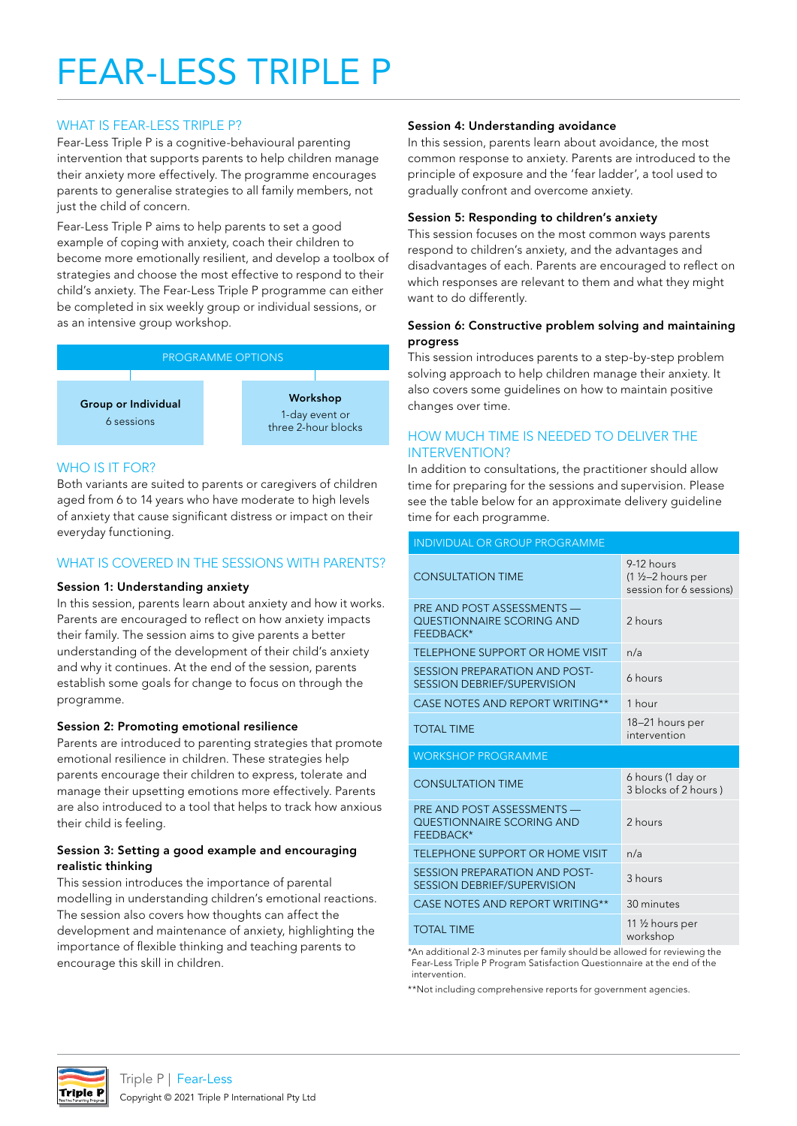### WHAT IS FEAR-LESS TRIPLE P?

Fear-Less Triple P is a cognitive-behavioural parenting intervention that supports parents to help children manage their anxiety more effectively. The programme encourages parents to generalise strategies to all family members, not just the child of concern.

Fear-Less Triple P aims to help parents to set a good example of coping with anxiety, coach their children to become more emotionally resilient, and develop a toolbox of strategies and choose the most effective to respond to their child's anxiety. The Fear-Less Triple P programme can either be completed in six weekly group or individual sessions, or as an intensive group workshop.



# WHO IS IT FOR?

Both variants are suited to parents or caregivers of children aged from 6 to 14 years who have moderate to high levels of anxiety that cause significant distress or impact on their everyday functioning.

### WHAT IS COVERED IN THE SESSIONS WITH PARENTS?

#### Session 1: Understanding anxiety

In this session, parents learn about anxiety and how it works. Parents are encouraged to reflect on how anxiety impacts their family. The session aims to give parents a better understanding of the development of their child's anxiety and why it continues. At the end of the session, parents establish some goals for change to focus on through the programme.

### Session 2: Promoting emotional resilience

Parents are introduced to parenting strategies that promote emotional resilience in children. These strategies help parents encourage their children to express, tolerate and manage their upsetting emotions more effectively. Parents are also introduced to a tool that helps to track how anxious their child is feeling.

#### Session 3: Setting a good example and encouraging realistic thinking

This session introduces the importance of parental modelling in understanding children's emotional reactions. The session also covers how thoughts can affect the development and maintenance of anxiety, highlighting the importance of flexible thinking and teaching parents to encourage this skill in children.

#### Session 4: Understanding avoidance

In this session, parents learn about avoidance, the most common response to anxiety. Parents are introduced to the principle of exposure and the 'fear ladder', a tool used to gradually confront and overcome anxiety.

#### Session 5: Responding to children's anxiety

This session focuses on the most common ways parents respond to children's anxiety, and the advantages and disadvantages of each. Parents are encouraged to reflect on which responses are relevant to them and what they might want to do differently.

#### Session 6: Constructive problem solving and maintaining progress

This session introduces parents to a step-by-step problem solving approach to help children manage their anxiety. It also covers some guidelines on how to maintain positive changes over time.

## HOW MUCH TIME IS NEEDED TO DELIVER THE INTERVENTION?

In addition to consultations, the practitioner should allow time for preparing for the sessions and supervision. Please see the table below for an approximate delivery guideline time for each programme.

| <b>INDIVIDUAL OR GROUP PROGRAMME</b>                                 |                                                             |  |
|----------------------------------------------------------------------|-------------------------------------------------------------|--|
| <b>CONSULTATION TIME</b>                                             | 9-12 hours<br>(1 1/2-2 hours per<br>session for 6 sessions) |  |
| PRE AND POST ASSESSMENTS -<br>QUESTIONNAIRE SCORING AND<br>FEEDBACK* | 2 hours                                                     |  |
| TELEPHONE SUPPORT OR HOME VISIT                                      | n/a                                                         |  |
| SESSION PREPARATION AND POST-<br><b>SESSION DEBRIEF/SUPERVISION</b>  | 6 hours                                                     |  |
| CASE NOTES AND REPORT WRITING**                                      | 1 hour                                                      |  |
| <b>TOTAL TIME</b>                                                    | 18-21 hours per<br>intervention                             |  |
|                                                                      |                                                             |  |
| <b>WORKSHOP PROGRAMME</b>                                            |                                                             |  |
| <b>CONSULTATION TIME</b>                                             | 6 hours (1 day or<br>3 blocks of 2 hours)                   |  |
| PRE AND POST ASSESSMENTS -<br>QUESTIONNAIRE SCORING AND<br>FEEDBACK* | 2 hours                                                     |  |
| TELEPHONE SUPPORT OR HOME VISIT                                      | n/a                                                         |  |
| SESSION PREPARATION AND POST-<br><b>SESSION DEBRIEF/SUPERVISION</b>  | 3 hours                                                     |  |
| CASE NOTES AND REPORT WRITING**                                      | 30 minutes                                                  |  |

\*An additional 2-3 minutes per family should be allowed for reviewing the Fear-Less Triple P Program Satisfaction Questionnaire at the end of the intervention.

\*\*Not including comprehensive reports for government agencies.